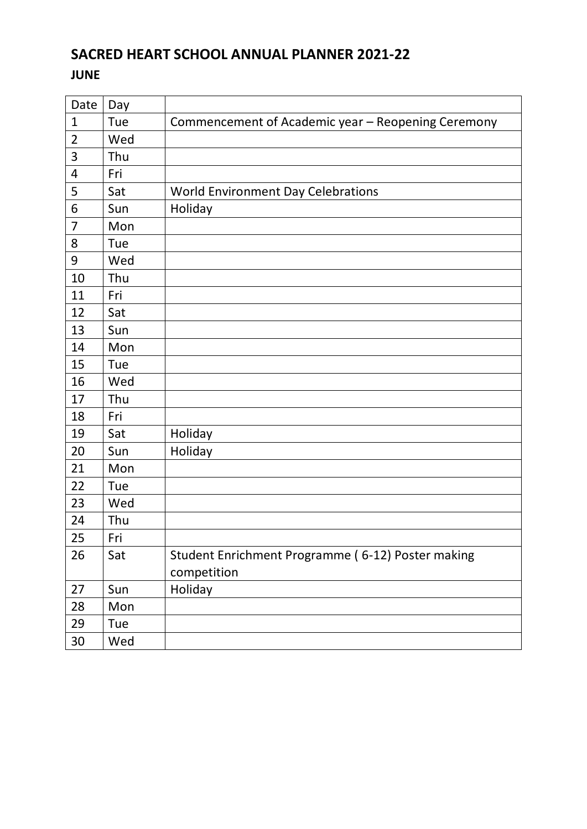# **SACRED HEART SCHOOL ANNUAL PLANNER 2021-22**

#### **JUNE**

| Date                    | Day |                                                    |
|-------------------------|-----|----------------------------------------------------|
| $\mathbf{1}$            | Tue | Commencement of Academic year - Reopening Ceremony |
| $\overline{2}$          | Wed |                                                    |
| 3                       | Thu |                                                    |
| $\overline{\mathbf{4}}$ | Fri |                                                    |
| 5                       | Sat | <b>World Environment Day Celebrations</b>          |
| 6                       | Sun | Holiday                                            |
| $\overline{7}$          | Mon |                                                    |
| 8                       | Tue |                                                    |
| 9                       | Wed |                                                    |
| 10                      | Thu |                                                    |
| 11                      | Fri |                                                    |
| 12                      | Sat |                                                    |
| 13                      | Sun |                                                    |
| 14                      | Mon |                                                    |
| 15                      | Tue |                                                    |
| 16                      | Wed |                                                    |
| 17                      | Thu |                                                    |
| 18                      | Fri |                                                    |
| 19                      | Sat | Holiday                                            |
| 20                      | Sun | Holiday                                            |
| 21                      | Mon |                                                    |
| 22                      | Tue |                                                    |
| 23                      | Wed |                                                    |
| 24                      | Thu |                                                    |
| 25                      | Fri |                                                    |
| 26                      | Sat | Student Enrichment Programme (6-12) Poster making  |
|                         |     | competition                                        |
| 27                      | Sun | Holiday                                            |
| 28                      | Mon |                                                    |
| 29                      | Tue |                                                    |
| 30                      | Wed |                                                    |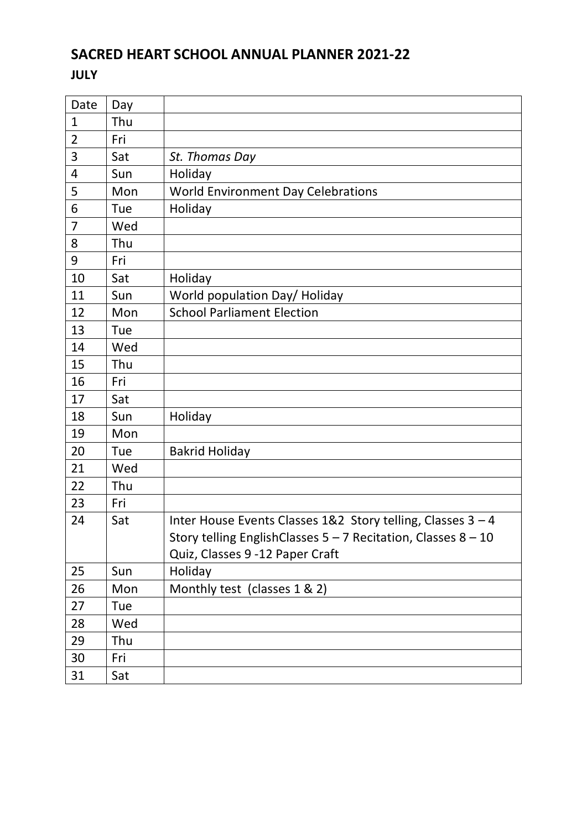# **SACRED HEART SCHOOL ANNUAL PLANNER 2021-22**

#### **JULY**

| Date           | Day |                                                                   |
|----------------|-----|-------------------------------------------------------------------|
| $\mathbf{1}$   | Thu |                                                                   |
| $\overline{2}$ | Fri |                                                                   |
| 3              | Sat | St. Thomas Day                                                    |
| 4              | Sun | Holiday                                                           |
| 5              | Mon | <b>World Environment Day Celebrations</b>                         |
| 6              | Tue | Holiday                                                           |
| $\overline{7}$ | Wed |                                                                   |
| 8              | Thu |                                                                   |
| 9              | Fri |                                                                   |
| 10             | Sat | Holiday                                                           |
| 11             | Sun | World population Day/ Holiday                                     |
| 12             | Mon | <b>School Parliament Election</b>                                 |
| 13             | Tue |                                                                   |
| 14             | Wed |                                                                   |
| 15             | Thu |                                                                   |
| 16             | Fri |                                                                   |
| 17             | Sat |                                                                   |
| 18             | Sun | Holiday                                                           |
| 19             | Mon |                                                                   |
| 20             | Tue | <b>Bakrid Holiday</b>                                             |
| 21             | Wed |                                                                   |
| 22             | Thu |                                                                   |
| 23             | Fri |                                                                   |
| 24             | Sat | Inter House Events Classes 1&2 Story telling, Classes 3 - 4       |
|                |     | Story telling EnglishClasses $5 - 7$ Recitation, Classes $8 - 10$ |
|                |     | Quiz, Classes 9 -12 Paper Craft                                   |
| 25             | Sun | Holiday                                                           |
| 26             | Mon | Monthly test (classes 1 & 2)                                      |
| 27             | Tue |                                                                   |
| 28             | Wed |                                                                   |
| 29             | Thu |                                                                   |
| 30             | Fri |                                                                   |
| 31             | Sat |                                                                   |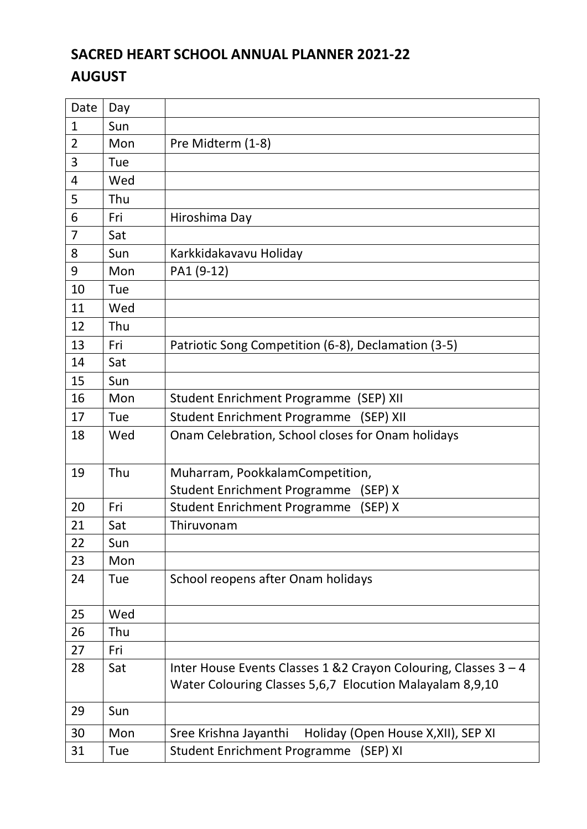# **SACRED HEART SCHOOL ANNUAL PLANNER 2021-22 AUGUST**

| Date         | Day |                                                                                                                              |
|--------------|-----|------------------------------------------------------------------------------------------------------------------------------|
| $\mathbf{1}$ | Sun |                                                                                                                              |
| 2            | Mon | Pre Midterm (1-8)                                                                                                            |
| 3            | Tue |                                                                                                                              |
| 4            | Wed |                                                                                                                              |
| 5            | Thu |                                                                                                                              |
| 6            | Fri | Hiroshima Day                                                                                                                |
| 7            | Sat |                                                                                                                              |
| 8            | Sun | Karkkidakavavu Holiday                                                                                                       |
| 9            | Mon | PA1 (9-12)                                                                                                                   |
| 10           | Tue |                                                                                                                              |
| 11           | Wed |                                                                                                                              |
| 12           | Thu |                                                                                                                              |
| 13           | Fri | Patriotic Song Competition (6-8), Declamation (3-5)                                                                          |
| 14           | Sat |                                                                                                                              |
| 15           | Sun |                                                                                                                              |
| 16           | Mon | Student Enrichment Programme (SEP) XII                                                                                       |
| 17           | Tue | <b>Student Enrichment Programme</b><br>(SEP) XII                                                                             |
| 18           | Wed | Onam Celebration, School closes for Onam holidays                                                                            |
| 19           | Thu | Muharram, PookkalamCompetition,                                                                                              |
|              |     | <b>Student Enrichment Programme</b><br>(SEP) X                                                                               |
| 20           | Fri | (SEP) X<br><b>Student Enrichment Programme</b>                                                                               |
| 21           | Sat | Thiruvonam                                                                                                                   |
| 22           | Sun |                                                                                                                              |
| 23           | Mon |                                                                                                                              |
| 24           | Tue | School reopens after Onam holidays                                                                                           |
| 25           | Wed |                                                                                                                              |
| 26           | Thu |                                                                                                                              |
| 27           | Fri |                                                                                                                              |
| 28           | Sat | Inter House Events Classes 1 & 2 Crayon Colouring, Classes 3 - 4<br>Water Colouring Classes 5,6,7 Elocution Malayalam 8,9,10 |
| 29           | Sun |                                                                                                                              |
| 30           | Mon | Sree Krishna Jayanthi<br>Holiday (Open House X, XII), SEP XI                                                                 |
| 31           | Tue | <b>Student Enrichment Programme</b><br>(SEP) XI                                                                              |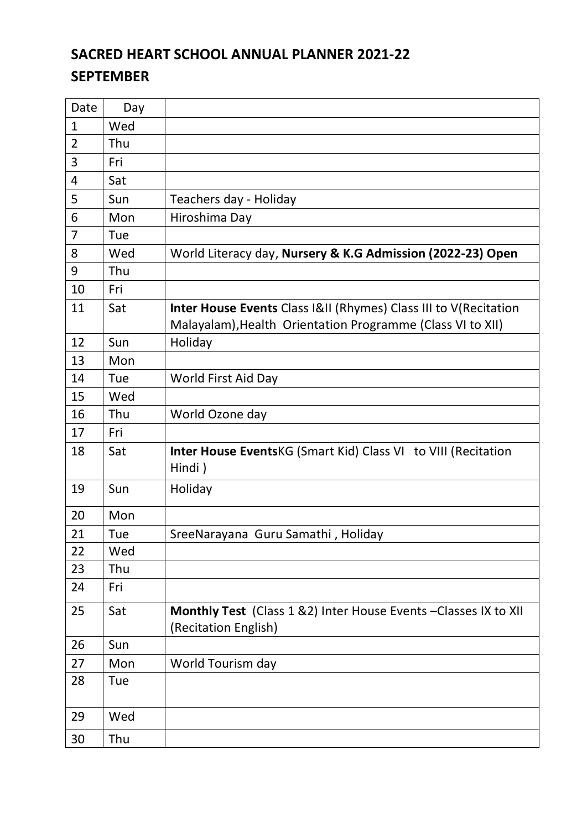# **SACRED HEART SCHOOL ANNUAL PLANNER 2021-22 SEPTEMBER**

| Date           | Day |                                                                             |
|----------------|-----|-----------------------------------------------------------------------------|
| $\mathbf{1}$   | Wed |                                                                             |
| $\overline{2}$ | Thu |                                                                             |
| 3              | Fri |                                                                             |
| 4              | Sat |                                                                             |
| 5              | Sun | Teachers day - Holiday                                                      |
| 6              | Mon | Hiroshima Day                                                               |
| $\overline{7}$ | Tue |                                                                             |
| 8              | Wed | World Literacy day, Nursery & K.G Admission (2022-23) Open                  |
| 9              | Thu |                                                                             |
| 10             | Fri |                                                                             |
| 11             | Sat | <b>Inter House Events Class I&amp;II (Rhymes) Class III to V(Recitation</b> |
|                |     | Malayalam), Health Orientation Programme (Class VI to XII)                  |
| 12             | Sun | Holiday                                                                     |
| 13             | Mon |                                                                             |
| 14             | Tue | World First Aid Day                                                         |
| 15             | Wed |                                                                             |
| 16             | Thu | World Ozone day                                                             |
| 17             | Fri |                                                                             |
| 18             | Sat | <b>Inter House Events KG (Smart Kid) Class VI to VIII (Recitation</b>       |
|                |     | Hindi)                                                                      |
| 19             | Sun | Holiday                                                                     |
| 20             | Mon |                                                                             |
| 21             | Tue | SreeNarayana Guru Samathi, Holiday                                          |
| 22             | Wed |                                                                             |
| 23             | Thu |                                                                             |
| 24             | Fri |                                                                             |
| 25             | Sat | Monthly Test (Class 1 &2) Inter House Events - Classes IX to XII            |
|                |     | (Recitation English)                                                        |
| 26             | Sun |                                                                             |
| 27             | Mon | World Tourism day                                                           |
| 28             | Tue |                                                                             |
|                |     |                                                                             |
| 29             | Wed |                                                                             |
| 30             | Thu |                                                                             |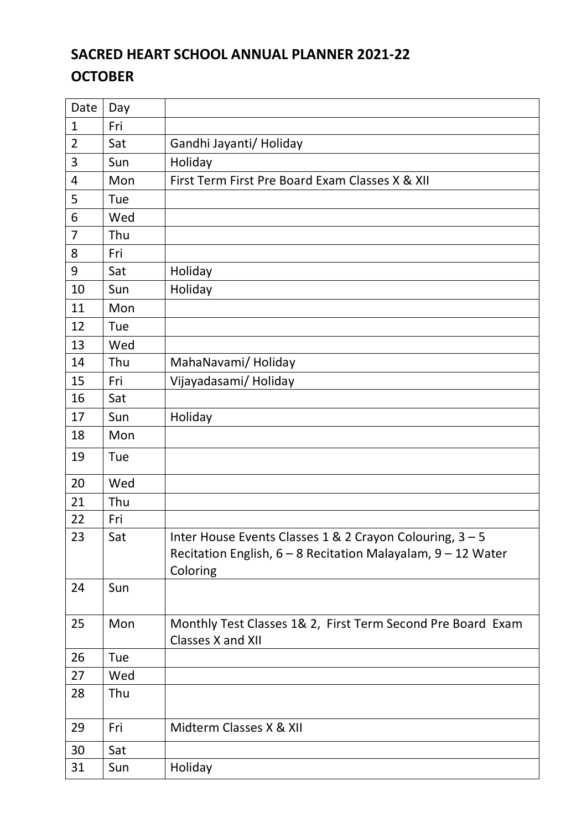# **SACRED HEART SCHOOL ANNUAL PLANNER 2021-22 OCTOBER**

| Date           | Day |                                                                                                                                          |
|----------------|-----|------------------------------------------------------------------------------------------------------------------------------------------|
| $\mathbf{1}$   | Fri |                                                                                                                                          |
| $\overline{2}$ | Sat | Gandhi Jayanti/ Holiday                                                                                                                  |
| 3              | Sun | Holiday                                                                                                                                  |
| 4              | Mon | First Term First Pre Board Exam Classes X & XII                                                                                          |
| 5              | Tue |                                                                                                                                          |
| 6              | Wed |                                                                                                                                          |
| $\overline{7}$ | Thu |                                                                                                                                          |
| 8              | Fri |                                                                                                                                          |
| 9              | Sat | Holiday                                                                                                                                  |
| 10             | Sun | Holiday                                                                                                                                  |
| 11             | Mon |                                                                                                                                          |
| 12             | Tue |                                                                                                                                          |
| 13             | Wed |                                                                                                                                          |
| 14             | Thu | MahaNavami/Holiday                                                                                                                       |
| 15             | Fri | Vijayadasami/Holiday                                                                                                                     |
| 16             | Sat |                                                                                                                                          |
| 17             | Sun | Holiday                                                                                                                                  |
| 18             | Mon |                                                                                                                                          |
| 19             | Tue |                                                                                                                                          |
| 20             | Wed |                                                                                                                                          |
| 21             | Thu |                                                                                                                                          |
| 22             | Fri |                                                                                                                                          |
| 23             | Sat | Inter House Events Classes 1 & 2 Crayon Colouring, 3 - 5<br>Recitation English, $6 - 8$ Recitation Malayalam, $9 - 12$ Water<br>Coloring |
| 24             | Sun |                                                                                                                                          |
| 25             | Mon | Monthly Test Classes 1& 2, First Term Second Pre Board Exam<br>Classes X and XII                                                         |
| 26             | Tue |                                                                                                                                          |
| 27             | Wed |                                                                                                                                          |
| 28             | Thu |                                                                                                                                          |
| 29             | Fri | Midterm Classes X & XII                                                                                                                  |
| 30             | Sat |                                                                                                                                          |
| 31             | Sun | Holiday                                                                                                                                  |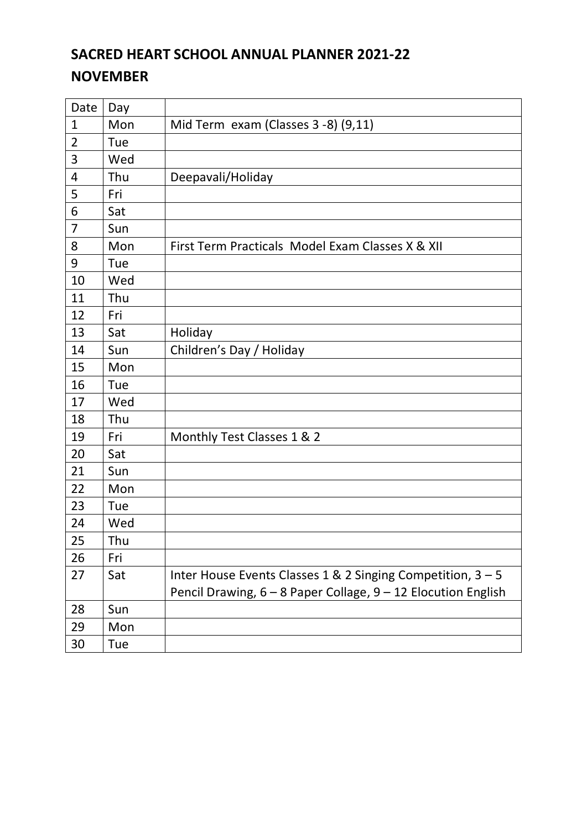# **SACRED HEART SCHOOL ANNUAL PLANNER 2021-22 NOVEMBER**

| Date           | Day |                                                               |
|----------------|-----|---------------------------------------------------------------|
| $\mathbf{1}$   | Mon | Mid Term exam (Classes 3 -8) (9,11)                           |
| 2              | Tue |                                                               |
| 3              | Wed |                                                               |
| 4              | Thu | Deepavali/Holiday                                             |
| 5              | Fri |                                                               |
| 6              | Sat |                                                               |
| $\overline{7}$ | Sun |                                                               |
| 8              | Mon | First Term Practicals Model Exam Classes X & XII              |
| 9              | Tue |                                                               |
| 10             | Wed |                                                               |
| 11             | Thu |                                                               |
| 12             | Fri |                                                               |
| 13             | Sat | Holiday                                                       |
| 14             | Sun | Children's Day / Holiday                                      |
| 15             | Mon |                                                               |
| 16             | Tue |                                                               |
| 17             | Wed |                                                               |
| 18             | Thu |                                                               |
| 19             | Fri | Monthly Test Classes 1 & 2                                    |
| 20             | Sat |                                                               |
| 21             | Sun |                                                               |
| 22             | Mon |                                                               |
| 23             | Tue |                                                               |
| 24             | Wed |                                                               |
| 25             | Thu |                                                               |
| 26             | Fri |                                                               |
| 27             | Sat | Inter House Events Classes 1 & 2 Singing Competition, 3 - 5   |
|                |     | Pencil Drawing, 6 - 8 Paper Collage, 9 - 12 Elocution English |
| 28             | Sun |                                                               |
| 29             | Mon |                                                               |
| 30             | Tue |                                                               |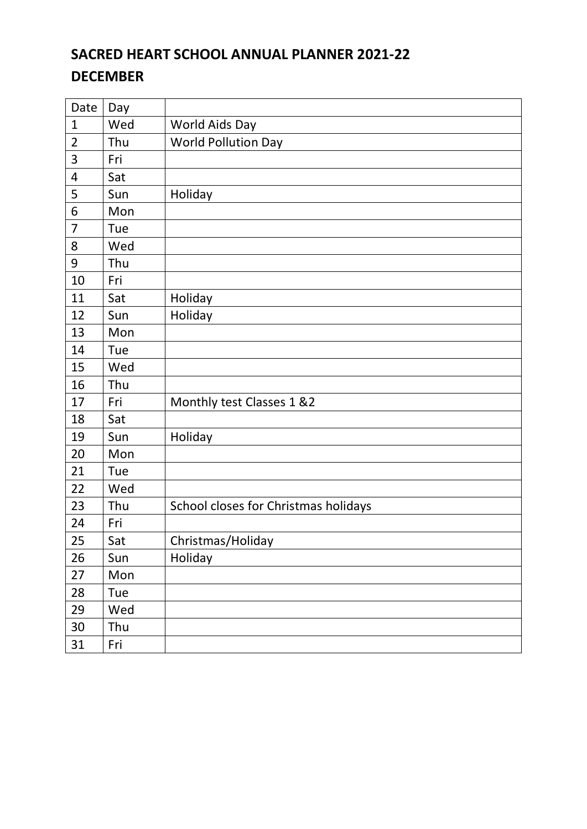# **SACRED HEART SCHOOL ANNUAL PLANNER 2021-22 DECEMBER**

| Date           | Day |                                      |
|----------------|-----|--------------------------------------|
| $\mathbf{1}$   | Wed | World Aids Day                       |
| $\overline{2}$ | Thu | <b>World Pollution Day</b>           |
| 3              | Fri |                                      |
| 4              | Sat |                                      |
| 5              | Sun | Holiday                              |
| 6              | Mon |                                      |
| $\overline{7}$ | Tue |                                      |
| 8              | Wed |                                      |
| 9              | Thu |                                      |
| 10             | Fri |                                      |
| 11             | Sat | Holiday                              |
| 12             | Sun | Holiday                              |
| 13             | Mon |                                      |
| 14             | Tue |                                      |
| 15             | Wed |                                      |
| 16             | Thu |                                      |
| 17             | Fri | Monthly test Classes 1 &2            |
| 18             | Sat |                                      |
| 19             | Sun | Holiday                              |
| 20             | Mon |                                      |
| 21             | Tue |                                      |
| 22             | Wed |                                      |
| 23             | Thu | School closes for Christmas holidays |
| 24             | Fri |                                      |
| 25             | Sat | Christmas/Holiday                    |
| 26             | Sun | Holiday                              |
| 27             | Mon |                                      |
| 28             | Tue |                                      |
| 29             | Wed |                                      |
| 30             | Thu |                                      |
| 31             | Fri |                                      |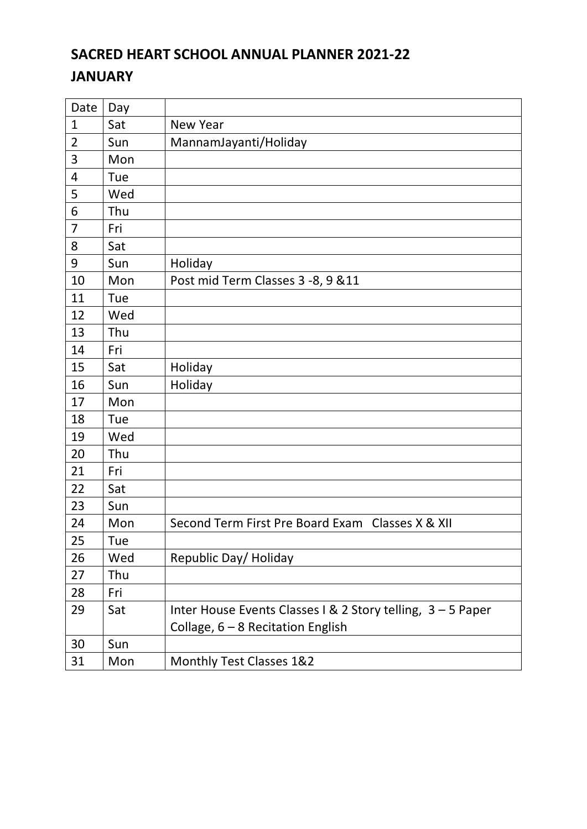### **SACRED HEART SCHOOL ANNUAL PLANNER 2021-22 JANUARY**

| Date           | Day |                                                             |
|----------------|-----|-------------------------------------------------------------|
| 1              | Sat | <b>New Year</b>                                             |
| 2              | Sun | MannamJayanti/Holiday                                       |
| 3              | Mon |                                                             |
| 4              | Tue |                                                             |
| 5              | Wed |                                                             |
| 6              | Thu |                                                             |
| $\overline{7}$ | Fri |                                                             |
| 8              | Sat |                                                             |
| 9              | Sun | Holiday                                                     |
| 10             | Mon | Post mid Term Classes 3 -8, 9 & 11                          |
| 11             | Tue |                                                             |
| 12             | Wed |                                                             |
| 13             | Thu |                                                             |
| 14             | Fri |                                                             |
| 15             | Sat | Holiday                                                     |
| 16             | Sun | Holiday                                                     |
| 17             | Mon |                                                             |
| 18             | Tue |                                                             |
| 19             | Wed |                                                             |
| 20             | Thu |                                                             |
| 21             | Fri |                                                             |
| 22             | Sat |                                                             |
| 23             | Sun |                                                             |
| 24             | Mon | Second Term First Pre Board Exam Classes X & XII            |
| 25             | Tue |                                                             |
| 26             | Wed | Republic Day/ Holiday                                       |
| 27             | Thu |                                                             |
| 28             | Fri |                                                             |
| 29             | Sat | Inter House Events Classes I & 2 Story telling, 3 - 5 Paper |
|                |     | Collage, $6 - 8$ Recitation English                         |
| 30             | Sun |                                                             |
| 31             | Mon | Monthly Test Classes 1&2                                    |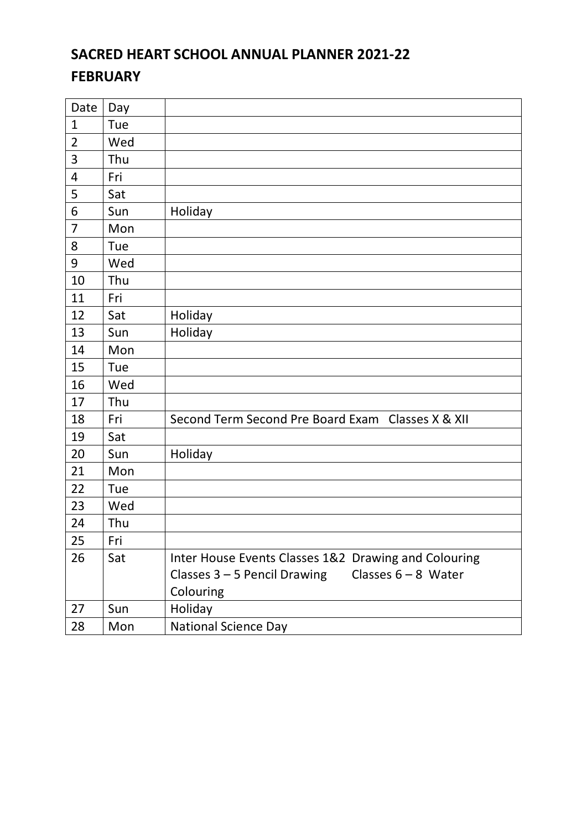# **SACRED HEART SCHOOL ANNUAL PLANNER 2021-22 FEBRUARY**

| Date                    | Day |                                                         |
|-------------------------|-----|---------------------------------------------------------|
| $\mathbf{1}$            | Tue |                                                         |
| $\overline{2}$          | Wed |                                                         |
| 3                       | Thu |                                                         |
| $\overline{\mathbf{4}}$ | Fri |                                                         |
| 5                       | Sat |                                                         |
| 6                       | Sun | Holiday                                                 |
| $\overline{7}$          | Mon |                                                         |
| 8                       | Tue |                                                         |
| 9                       | Wed |                                                         |
| 10                      | Thu |                                                         |
| 11                      | Fri |                                                         |
| 12                      | Sat | Holiday                                                 |
| 13                      | Sun | Holiday                                                 |
| 14                      | Mon |                                                         |
| 15                      | Tue |                                                         |
| 16                      | Wed |                                                         |
| 17                      | Thu |                                                         |
| 18                      | Fri | Second Term Second Pre Board Exam Classes X & XII       |
| 19                      | Sat |                                                         |
| 20                      | Sun | Holiday                                                 |
| 21                      | Mon |                                                         |
| 22                      | Tue |                                                         |
| 23                      | Wed |                                                         |
| 24                      | Thu |                                                         |
| 25                      | Fri |                                                         |
| 26                      | Sat | Inter House Events Classes 1&2 Drawing and Colouring    |
|                         |     | Classes $6 - 8$ Water<br>Classes $3 - 5$ Pencil Drawing |
|                         |     | Colouring                                               |
| 27                      | Sun | Holiday                                                 |
| 28                      | Mon | <b>National Science Day</b>                             |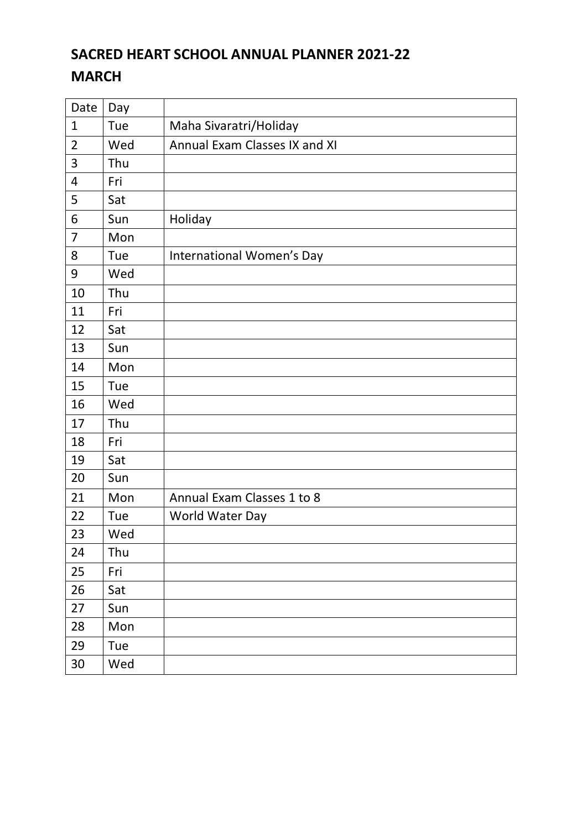# **SACRED HEART SCHOOL ANNUAL PLANNER 2021-22 MARCH**

| Date           | Day |                               |
|----------------|-----|-------------------------------|
| $\mathbf{1}$   | Tue | Maha Sivaratri/Holiday        |
| $\overline{2}$ | Wed | Annual Exam Classes IX and XI |
| 3              | Thu |                               |
| 4              | Fri |                               |
| 5              | Sat |                               |
| 6              | Sun | Holiday                       |
| $\overline{7}$ | Mon |                               |
| 8              | Tue | International Women's Day     |
| 9              | Wed |                               |
| 10             | Thu |                               |
| 11             | Fri |                               |
| 12             | Sat |                               |
| 13             | Sun |                               |
| 14             | Mon |                               |
| 15             | Tue |                               |
| 16             | Wed |                               |
| 17             | Thu |                               |
| 18             | Fri |                               |
| 19             | Sat |                               |
| 20             | Sun |                               |
| 21             | Mon | Annual Exam Classes 1 to 8    |
| 22             | Tue | World Water Day               |
| 23             | Wed |                               |
| 24             | Thu |                               |
| 25             | Fri |                               |
| 26             | Sat |                               |
| 27             | Sun |                               |
| 28             | Mon |                               |
| 29             | Tue |                               |
| 30             | Wed |                               |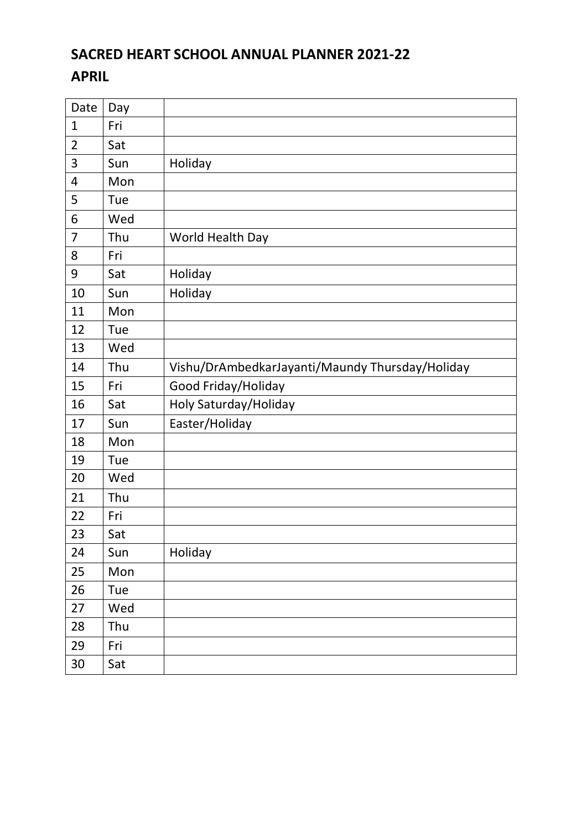# **SACRED HEART SCHOOL ANNUAL PLANNER 2021-22 APRIL**

| Date           | Day |                                                 |
|----------------|-----|-------------------------------------------------|
| $\mathbf 1$    | Fri |                                                 |
| $\overline{2}$ | Sat |                                                 |
| 3              | Sun | Holiday                                         |
| 4              | Mon |                                                 |
| 5              | Tue |                                                 |
| 6              | Wed |                                                 |
| 7              | Thu | World Health Day                                |
| 8              | Fri |                                                 |
| 9              | Sat | Holiday                                         |
| 10             | Sun | Holiday                                         |
| 11             | Mon |                                                 |
| 12             | Tue |                                                 |
| 13             | Wed |                                                 |
| 14             | Thu | Vishu/DrAmbedkarJayanti/Maundy Thursday/Holiday |
| 15             | Fri | Good Friday/Holiday                             |
| 16             | Sat | Holy Saturday/Holiday                           |
| 17             | Sun | Easter/Holiday                                  |
| 18             | Mon |                                                 |
| 19             | Tue |                                                 |
| 20             | Wed |                                                 |
| 21             | Thu |                                                 |
| 22             | Fri |                                                 |
| 23             | Sat |                                                 |
| 24             | Sun | Holiday                                         |
| 25             | Mon |                                                 |
| 26             | Tue |                                                 |
| 27             | Wed |                                                 |
| 28             | Thu |                                                 |
| 29             | Fri |                                                 |
| 30             | Sat |                                                 |